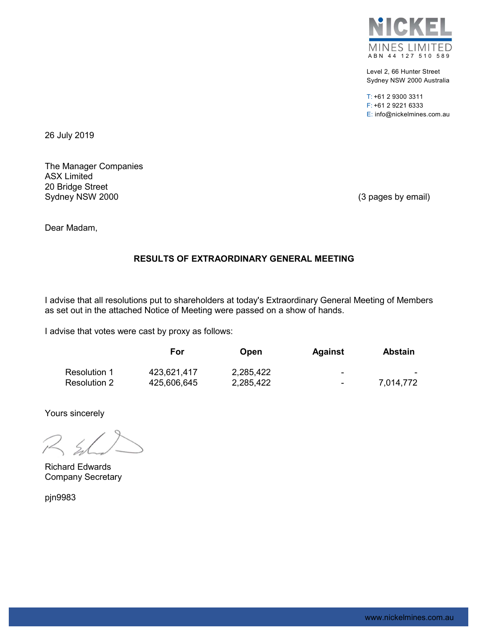

Level 2, 66 Hunter Street Sydney NSW 2000 Australia

T: +61 2 9300 3311 F: +61 2 9221 6333 E: info@nickelmines.com.au

26 July 2019

The Manager Companies ASX Limited 20 Bridge Street Sydney NSW 2000 (3 pages by email)

Dear Madam,

# RESULTS OF EXTRAORDINARY GENERAL MEETING

I advise that all resolutions put to shareholders at today's Extraordinary General Meeting of Members as set out in the attached Notice of Meeting were passed on a show of hands.

I advise that votes were cast by proxy as follows:

|              | For         | <b>Open</b> | <b>Against</b> | <b>Abstain</b> |
|--------------|-------------|-------------|----------------|----------------|
| Resolution 1 | 423,621,417 | 2,285,422   | ٠              | <b>COLOR</b>   |
| Resolution 2 | 425,606,645 | 2,285,422   | $\blacksquare$ | 7,014,772      |

Yours sincerely

 $72, 5$ 

Richard Edwards Company Secretary

pjn9983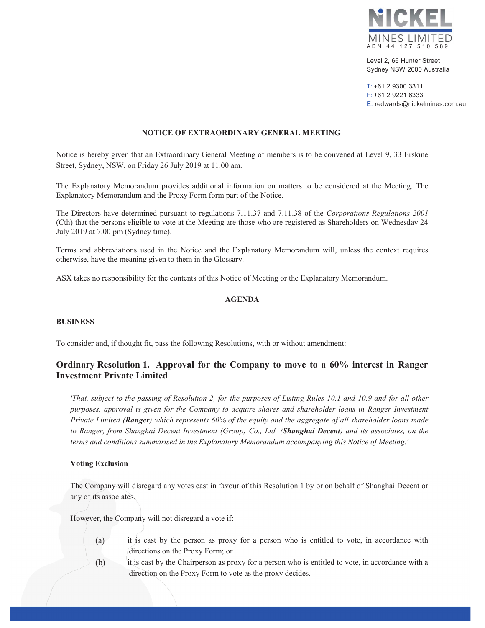

Level 2, 66 Hunter Street Sydney NSW 2000 Australia

T: +61 2 9300 3311 F: +61 2 9221 6333 E: redwards@nickelmines.com.au

### NOTICE OF EXTRAORDINARY GENERAL MEETING

Notice is hereby given that an Extraordinary General Meeting of members is to be convened at Level 9, 33 Erskine Street, Sydney, NSW, on Friday 26 July 2019 at 11.00 am.

The Explanatory Memorandum provides additional information on matters to be considered at the Meeting. The Explanatory Memorandum and the Proxy Form form part of the Notice.

The Directors have determined pursuant to regulations 7.11.37 and 7.11.38 of the *Corporations Regulations 2001* (Cth) that the persons eligible to vote at the Meeting are those who are registered as Shareholders on Wednesday 24 July 2019 at 7.00 pm (Sydney time).

Terms and abbreviations used in the Notice and the Explanatory Memorandum will, unless the context requires otherwise, have the meaning given to them in the Glossary.

ASX takes no responsibility for the contents of this Notice of Meeting or the Explanatory Memorandum.

### AGENDA

#### BUSINESS

To consider and, if thought fit, pass the following Resolutions, with or without amendment:

## Ordinary Resolution 1. Approval for the Company to move to a 60% interest in Ranger Investment Private Limited

*'That, subject to the passing of Resolution 2, for the purposes of Listing Rules 10.1 and 10.9 and for all other purposes, approval is given for the Company to acquire shares and shareholder loans in Ranger Investment Private Limited (Ranger) which represents 60% of the equity and the aggregate of all shareholder loans made to Ranger, from Shanghai Decent Investment (Group) Co., Ltd. (Shanghai Decent) and its associates, on the terms and conditions summarised in the Explanatory Memorandum accompanying this Notice of Meeting.'* 

#### Voting Exclusion

The Company will disregard any votes cast in favour of this Resolution 1 by or on behalf of Shanghai Decent or any of its associates.

However, the Company will not disregard a vote if:

- $(a)$ it is cast by the person as proxy for a person who is entitled to vote, in accordance with directions on the Proxy Form; or
- $(b)$ it is cast by the Chairperson as proxy for a person who is entitled to vote, in accordance with a direction on the Proxy Form to vote as the proxy decides.